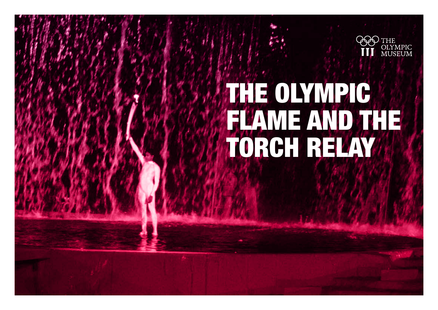

# The Olympic flame and the Torch Relay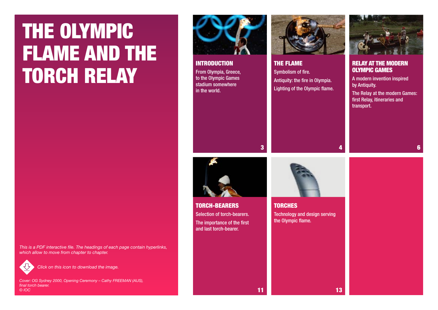# <span id="page-1-0"></span>The Olympic flame and the **TORCH RELAY**

*This is a PDF interactive file. The headings of each page contain hyperlinks, which allow to move from chapter to chapter.* 



*Click on this icon to download the image.*

*Cover: OG Sydney 2000, Opening Ceremony – Cathy FREEMAN (AUS), final torch bearer. © IOC*





The flame Symbolism of fire. Antiquity: the fire in Olympia. [Lighting of the Olympic flame.](#page-3-0)





Relay at the modern Olympic Games

A modern invention inspired by Antiquity.

[The Relay at the modern Games:](#page-5-0)  first Relay, itineraries and transport.

6

3

11

Torch-bearers Selection of torch-bearers. [The importance of the first](#page-10-0)  and last torch-bearer.



**TORCHES** [Technology and design serving](#page-12-0)  the Olympic flame.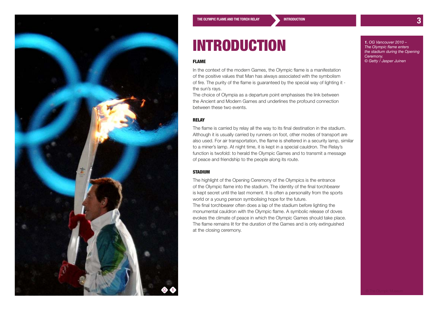<span id="page-2-0"></span>

### **INTRODUCTION**

#### Flame

In the context of the modern Games, the Olympic flame is a manifestation of the positive values that Man has always associated with the symbolism of fire. The purity of the flame is guaranteed by the special way of lighting it the sun's rays.

The choice of Olympia as a departure point emphasises the link between the Ancient and Modern Games and underlines the profound connection between these two events.

### Relay

The flame is carried by relay all the way to its final destination in the stadium. Although it is usually carried by runners on foot, other modes of transport are also used. For air transportation, the flame is sheltered in a security lamp, similar to a miner's lamp. At night time, it is kept in a special cauldron. The Relay's function is twofold: to herald the Olympic Games and to transmit a message of peace and friendship to the people along its route.

#### **STADIUM**

The highlight of the Opening Ceremony of the Olympics is the entrance of the Olympic flame into the stadium. The identity of the final torchbearer is kept secret until the last moment. It is often a personality from the sports world or a young person symbolising hope for the future. The final torchbearer often does a lap of the stadium before lighting the monumental cauldron with the Olympic flame. A symbolic release of doves evokes the climate of peace in which the Olympic Games should take place. The flame remains lit for the duration of the Games and is only extinguished at the closing ceremony.

*1. OG Vancouver 2010 – The Olympic flame enters the stadium during the Opening Ceremony. © Getty / Jasper Juinen*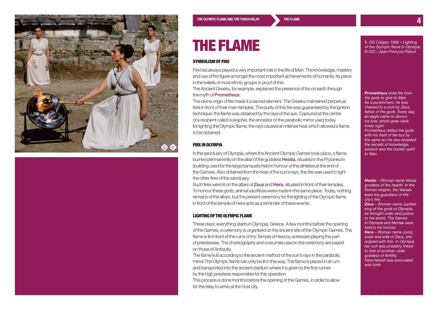<span id="page-3-0"></span>

### The flame

#### SYMROLISM OF FIRE

Fire has always played a very important role in the life of Man. The knowledge, mastery and use of fire figure amongst the most important achievements of humanity. Its place in the beliefs of most ethnic groups is proof of this.

The Ancient Greeks, for example, explained the presence of fire on earth through the myth of **Prometheus**.

The divine origin of fire made it a sacred element. The Greeks maintained perpetual fires in front of their main temples. The purity of this fire was guaranteed by the ignition technique: the flame was obtained by the rays of the sun. Captured at the centre of a recipient called a *skaphia*, the ancestor of the parabolic mirror used today for lighting the Olympic flame, the rays caused an intense heat which allowed a flame to be obtained.

#### Fire in Olympia

In the sanctuary of Olympia, where the Ancient Olympic Games took place, a flame burned permanently on the altar of the goddess Hestia, situated in the *Prytaneum* (building used for the large banquets held in honour of the athletes at the end of the Games). Also obtained from the heat of the sun's rays, this fire was used to light the other fires of the sanctuary.

Such fires were lit on the altars of **Zeus** and **Hera**, situated in front of their temples. To honour these gods, animal sacrifices were made in the same place. Today, nothing remains of the altars, but the present ceremony for the lighting of the Olympic flame in front of the temple of Hera acts as a reminder of these events.

#### Lighting of the Olympic flame

These days, everything starts in Olympia, Greece. A few months before the opening of the Games, a ceremony is organised on the ancient site of the Olympic Games. The flame is lit in front of the ruins of the Temple of Hera by actresses playing the part of priestesses. The choreography and costumes used in the ceremony are based on those of Antiquity.

The flame is lit according to the ancient method of the sun's rays in the parabolic mirror.The Olympic flame can only be lit in this way. The flame is placed in an urn and transported into the ancient stadium where it is given to the first runner by the high priestess responsible for this operation.

This process is done months before the opening of the Games, in order to allow for the relay to arrive at the host city.

*1. OG Calgary 1988 – Lighting of the Olympic flame in Olympia. © IOC / Jean-François Pahud*

*Prometheus stole fire from the gods to give to Man. As a punishment, he was chained to a rock by Zeus, father of the gods. Every day, an eagle came to devour his liver, which grew back every night. Prometheus defied the gods with his theft of fire but by the same act he also revealed the secrets of knowledge, wisdom and the human spirit to Man.*

*Hestia – (Roman name Vesta) goddess of the hearth. In the Roman religion, the Vestals were the guardians of the city's fire.*

*Zeus – (Roman name Jupiter) king of the gods of Olympia, he brought order and justice to the world. The Games in Olympia and Nemea were held in his honour. Hera – (Roman name Juno), sister and wife of Zeus, she reigned with him. In Olympia, her cult was probably linked to that of another, older goddess of fertility. Hera herself was associated with birth.*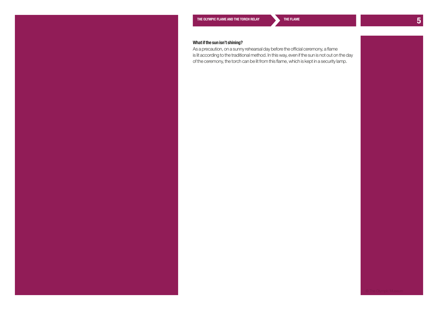As a precaution, on a sunny rehearsal day before the official ceremony, a flame is lit according to the traditional method. In this way, even if the sun is not out on the day of the ceremony, the torch can be lit from this flame, which is kept in a security lamp.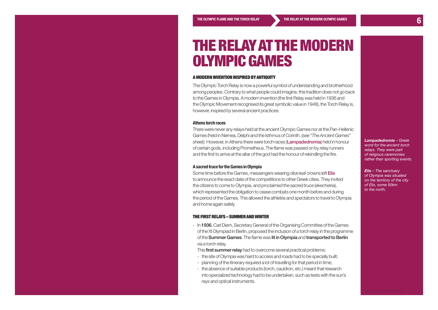### <span id="page-5-0"></span>The Relay atthe modern Olympic Games

#### A modern invention inspired by antiquity

The Olympic Torch Relay is now a powerful symbol of understanding and brotherhood among peoples. Contrary to what people could imagine, this tradition does not go back to the Games in Olympia. A modern invention (the first Relay was held in 1936 and the Olympic Movement recognised its great symbolic value in 1948), the Torch Relay is, however, inspired by several ancient practices:

#### **Athens torch races**

There were never any relays held at the ancient Olympic Games nor at the Pan-Hellenic Games (held in Nemea, Delphi and the Isthmus of Corinth. *(see "The Ancient Games" sheet).* However, in Athens there were torch races (Lampadedromia) held in honour of certain gods, including Prometheus. The flame was passed on by relay runners and the first to arrive at the altar of the god had the honour of rekindling the fire.

#### **A sacred truce for the Games in Olympia**

Some time before the Games, messengers wearing olive leaf crowns left Elis to announce the exact date of the competitions to other Greek cities. They invited the citizens to come to Olympia, and proclaimed the sacred truce (ekecheiria), which represented the obligation to cease combats one month before and during the period of the Games. This allowed the athletes and spectators to travel to Olympia and home again safely.

#### The first relays – summer and winter

In 1936, Carl Diem, Secretary General of the Organising Committee of the Games of the XI Olympiad in Berlin, proposed the inclusion of a torch relay in the programme of the Summer Games. The flame was lit in Olympia and transported to Berlin via a torch relay.

This **first summer relay** had to overcome several practical problems:

- the site of Olympia was hard to access and roads had to be specially built;
- planning of the itinerary required a lot of travelling for that period in time;
- the absence of suitable products (torch, cauldron, etc.) meant that research into specialized technology had to be undertaken, such as tests with the sun's rays and optical instruments.

#### *Lampadedromia – Greek word for the ancient torch relays. They were part of religious ceremonies rather than sporting events.*

*Elis – The sanctuary of Olympia was situated on the territory of the city of Elis, some 50km to the north.*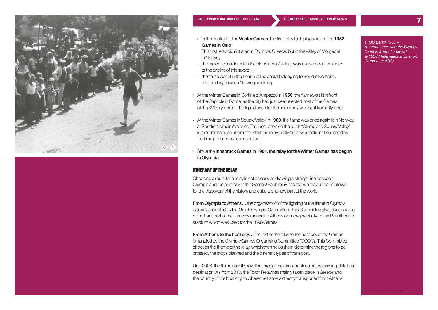

#### **[The Olympic flame and the Torch Relay](#page-1-0) The Relay at [the modern Olympic Games](#page-5-0) 7**

- $\rightarrow$  In the context of the **Winter Games**, the first relay took place during the 1952 Games in Oslo.
	- This first relay did not start in Olympia, Greece, but in the valley of Morgedal in Norway.
- the region, considered as the birthplace of skiing, was chosen as a reminder of the origins of this sport;
- the flame was lit in the hearth of the chalet belonging to Sondre Norheim, a legendary figure in Norwegian skiing.
- › At the Winter Games in Cortina d'Ampezzo in 1956, the flame was lit in front of the Capitole in Rome, as the city had just been elected host of the Games of the XVII Olympiad. The tripod used for the ceremony was sent from Olympia.
- › At the Winter Games in Squaw Valley in 1960, the flame was once again lit in Norway, at Sondre Norheim's chalet. The inscription on the torch "Olympia to Squaw Valley" is a reference to an attempt to start the relay in Olympia, which did not succeed as the time period was too restricted.
- $\rightarrow$  Since the Innsbruck Games in 1964, the relay for the Winter Games has begun in Olympia.

#### Itinerary of the relay

Choosing a route for a relay is not as easy as drawing a straight line between Olympia and the host city of the Games! Each relay has its own "flavour" and allows for the discovery of the history and culture of a new part of the world.

**From Olympia to Athens...** the organisation of the lighting of the flame in Olympia is always handled by the Greek Olympic Committee. This Committee also takes charge of the transport of the flame by runners to Athens or, more precisely, to the Panathenaic stadium which was used for the 1896 Games.

**From Athens to the host city...** the rest of the relay to the host city of the Games is handled by the Olympic Games Organising Committee (OCOG). This Committee chooses the theme of the relay, which then helps them determine the regions to be crossed, the stops planned and the different types of transport.

Until 2008, the flame usually travelled through several countries before arriving at its final destination. As from 2010, the Torch Relay has mainly taken place in Greece and the country of the host city, to where the flame is directly transported from Athens.

*1. OG Berlin 1936 – A torchbearer with the Olympic flame in front of a crowd. © 1936 / International Olympic Committee (IOC)*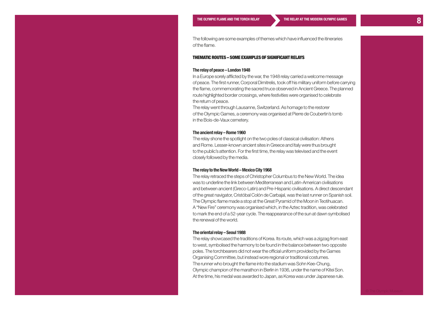The following are some examples of themes which have influenced the itineraries of the flame.

#### Thematic routes – some examples of significant relays

#### **The relay of peace – London 1948**

In a Europe sorely afflicted by the war, the 1948 relay carried a welcome message of peace. The first runner, Corporal Dimitrelis, took off his military uniform before carrying the flame, commemorating the sacred truce observed in Ancient Greece. The planned route highlighted border crossings, where festivities were organised to celebrate the return of peace.

The relay went through Lausanne, Switzerland. As homage to the restorer of the Olympic Games, a ceremony was organised at Pierre de Coubertin's tomb in the Bois-de-Vaux cemetery.

#### **The ancient relay – Rome 1960**

The relay shone the spotlight on the two poles of classical civilisation: Athens and Rome. Lesser-known ancient sites in Greece and Italy were thus brought to the public's attention. For the first time, the relay was televised and the event closely followed by the media.

#### **The relay to the New World – Mexico City 1968**

The relay retraced the steps of Christopher Columbus to the New World. The idea was to underline the link between Mediterranean and Latin-American civilisations and between ancient (Greco-Latin) and Pre-Hispanic civilisations. A direct descendant of the great navigator, Cristóbal Colón de Carbajal, was the last runner on Spanish soil. The Olympic flame made a stop at the Great Pyramid of the Moon in Teotihuacan. A "New Fire" ceremony was organised which, in the Aztec tradition, was celebrated to mark the end of a 52-year cycle. The reappearance of the sun at dawn symbolised the renewal of the world.

#### **The oriental relay – Seoul 1988**

The relay showcased the traditions of Korea. Its route, which was a zigzag from east to west, symbolised the harmony to be found in the balance between two opposite poles. The torchbearers did not wear the official uniform provided by the Games Organising Committee, but instead wore regional or traditional costumes. The runner who brought the flame into the stadium was Sohn Kee-Chung, Olympic champion of the marathon in Berlin in 1936, under the name of Kitei Son. At the time, his medal was awarded to Japan, as Korea was under Japanese rule.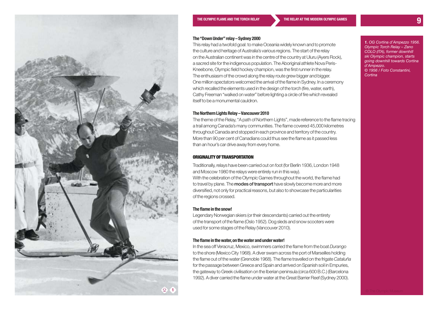

#### **The "Down Under" relay – Sydney 2000**

This relay had a twofold goal: to make Oceania widely known and to promote the culture and heritage of Australia's various regions. The start of the relay on the Australian continent was in the centre of the country at Uluru (Ayers Rock), a sacred site for the indigenous population. The Aboriginal athlete Nova Peris-Kneebone, Olympic field hockey champion, was the first runner in the relay. The enthusiasm of the crowd along the relay route grew bigger and bigger. One million spectators welcomed the arrival of the flame in Sydney. In a ceremony which recalled the elements used in the design of the torch (fire, water, earth), Cathy Freeman "walked on water" before lighting a circle of fire which revealed itself to be a monumental cauldron.

#### **The Northern Lights Relay – Vancouver 2010**

The theme of the Relay, "A path of Northern Lights", made reference to the flame tracing a trail among Canada's many communities. The flame covered 45,000 kilometres throughout Canada and stopped in each province and territory of the country. More than 90 per cent of Canadians could thus see the flame as it passed less than an hour's car drive away from every home.

#### Originality of transportation

Traditionally, relays have been carried out on foot (for Berlin 1936, London 1948 and Moscow 1980 the relays were entirely run in this way). With the celebration of the Olympic Games throughout the world, the flame had to travel by plane. The **modes of transport** have slowly become more and more diversified, not only for practical reasons, but also to showcase the particularities of the regions crossed.

#### **The flame in the snow!**

Legendary Norwegian skiers (or their descendants) carried out the entirety of the transport of the flame (Oslo 1952). Dog sleds and snow scooters were used for some stages of the Relay (Vancouver 2010).

#### **The flame in the water, on the water and under water!**

In the sea off Veracruz, Mexico, swimmers carried the flame from the boat *Durango* to the shore (Mexico City 1968). A diver swam across the port of Marseilles holding the flame out of the water (Grenoble 1968). The flame travelled on the frigate *Cataluña* for the passage between Greece and Spain and arrived on Spanish soil in Empuries, the gateway to Greek civilisation on the Iberian peninsula (circa 600 B.C.) (Barcelona 1992). A diver carried the flame under water at the Great Barrier Reef (Sydney 2000).

*1. OG Cortina d'Ampezzo 1956. Olympic Torch Relay – Zeno COLO (ITA), former downhill ski Olympic champion, starts going downhill towards Cortina d'Ampezzo. © 1956 / Foto Constantini, Cortina*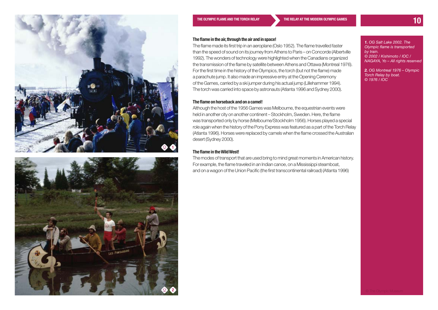



#### **The flame in the air, through the air and in space!**

The flame made its first trip in an aeroplane (Oslo 1952). The flame travelled faster than the speed of sound on its journey from Athens to Paris – on Concorde (Albertville 1992). The wonders of technology were highlighted when the Canadians organized the transmission of the flame by satellite between Athens and Ottawa (Montreal 1976). For the first time in the history of the Olympics, the torch (but not the flame) made a parachute jump. It also made an impressive entry at the Opening Ceremony of the Games, carried by a ski jumper during his actual jump (Lillehammer 1994). The torch was carried into space by astronauts (Atlanta 1996 and Sydney 2000).

#### **The flame on horseback and on a camel!**

Although the host of the 1956 Games was Melbourne, the equestrian events were held in another city on another continent – Stockholm, Sweden. Here, the flame was transported only by horse (Melbourne/Stockholm 1956). Horses played a special role again when the history of the Pony Express was featured as a part of the Torch Relay (Atlanta 1996). Horses were replaced by camels when the flame crossed the Australian desert (Sydney 2000).

#### **The flame in the Wild West!**

The modes of transport that are used bring to mind great moments in American history. For example, the flame traveled in an Indian canoe, on a Mississippi steamboat, and on a wagon of the Union Pacific (the first transcontinental railroad) (Atlanta 1996)

*1. OG Salt Lake 2002. The Olympic flame is transported by train. © 2002 / Kishimoto / IOC / NAGAYA, Yo – All rights reserved*

*2. OG Montreal 1976 – Olympic Torch Relay by boat. © 1976 / IOC*

2 © The Olympic Museum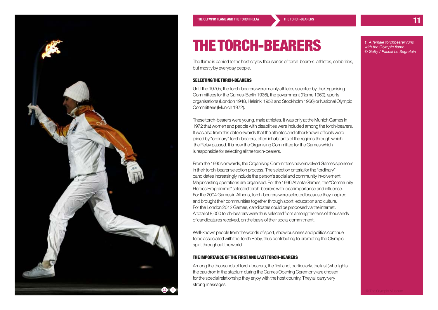<span id="page-10-0"></span>

## The torch-bearers

The flame is carried to the host city by thousands of torch-bearers: athletes, celebrities, but mostly by everyday people.

#### SELECTING THE TORCH-BEARERS

Until the 1970s, the torch-bearers were mainly athletes selected by the Organising Committees for the Games (Berlin 1936), the government (Rome 1960), sports organisations (London 1948, Helsinki 1952 and Stockholm 1956) or National Olympic Committees (Munich 1972).

These torch-bearers were young, male athletes. It was only at the Munich Games in 1972 that women and people with disabilities were included among the torch-bearers. It was also from this date onwards that the athletes and other known officials were joined by "ordinary" torch-bearers, often inhabitants of the regions through which the Relay passed. It is now the Organising Committee for the Games which is responsible for selecting all the torch-bearers.

From the 1990s onwards, the Organising Committees have involved Games sponsors in their torch-bearer selection process. The selection criteria for the "ordinary" candidates increasingly include the person's social and community involvement. Major casting operations are organised. For the 1996 Atlanta Games, the "Community Heroes Programme" selected torch-bearers with local importance and influence. For the 2004 Games in Athens, torch-bearers were selected because they inspired and brought their communities together through sport, education and culture. For the London 2012 Games, candidates could be proposed via the internet. A total of 8,000 torch-bearers were thus selected from among the tens of thousands of candidatures received, on the basis of their social commitment.

Well-known people from the worlds of sport, show business and politics continue to be associated with the Torch Relay, thus contributing to promoting the Olympic spirit throughout the world.

#### The importance of the first and lasttorch-bearers

Among the thousands of torch-bearers, the first and, particularly, the last (who lights the cauldron in the stadium during the Games Opening Ceremony) are chosen for the special relationship they enjoy with the host country. They all carry very strong messages:

*1. A female torchbearer runs with the Olympic flame. © Getty / Pascal Le Segretain*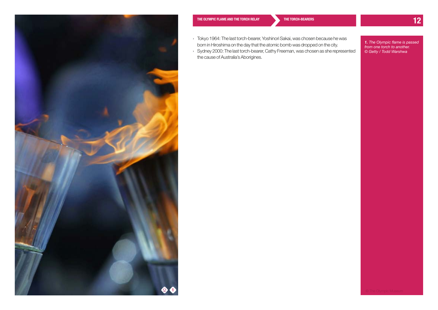

- › Tokyo 1964: The last torch-bearer, Yoshinori Sakai, was chosen because he was born in Hiroshima on the day that the atomic bomb was dropped on the city.
- › Sydney 2000: The last torch-bearer, Cathy Freeman, was chosen as she represented the cause of Australia's Aborigines.

*1. The Olympic flame is passed from one torch to another. © Getty / Todd Warshwa*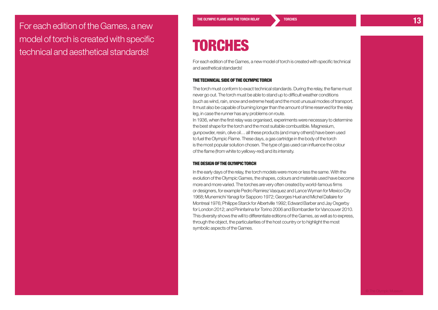<span id="page-12-0"></span>THE OLYMPIC FLAME AND THE TORCH RELAY TORCHES<br>
TO PORT ENGLISH TO RELAY TORCHES model of torch is created with specific technical and aesthetical standards!

### **TORCHES**

For each edition of the Games, a new model of torch is created with specific technical and aesthetical standards!

#### The technical side of the Olympic torch

The torch must conform to exact technical standards. During the relay, the flame must never go out. The torch must be able to stand up to difficult weather conditions (such as wind, rain, snow and extreme heat) and the most unusual modes of transport. It must also be capable of burning longer than the amount of time reserved for the relay leg, in case the runner has any problems on route.

In 1936, when the first relay was organised, experiments were necessary to determine the best shape for the torch and the most suitable combustible. Magnesium, gunpowder, resin, olive oil… all these products (and many others!) have been used to fuel the Olympic Flame. These days, a gas cartridge in the body of the torch is the most popular solution chosen. The type of gas used can influence the colour of the flame (from white to yellowy-red) and its intensity.

#### The design of the Olympic torch

In the early days of the relay, the torch models were more or less the same. With the evolution of the Olympic Games, the shapes, colours and materials used have become more and more varied. The torches are very often created by world-famous firms or designers, for example Pedro Ramirez Vasquez and Lance Wyman for Mexico City 1968; Munemichi Yanagi for Sapporo 1972; Georges Huel and Michel Dallaire for Montreal 1976; Philippe Starck for Albertville 1992; Edward Barber and Jay Osgerby for London 2012; and Pininfarina for Torino 2006 and Bombardier for Vancouver 2010. This diversity shows the will to differentiate editions of the Games, as well as to express, through the object, the particularities of the host country or to highlight the most symbolic aspects of the Games.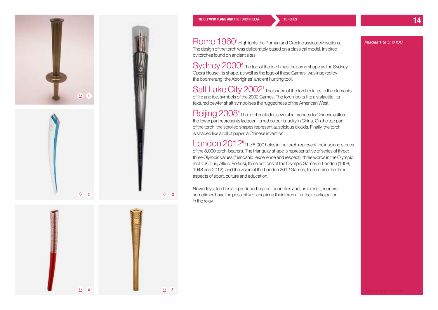





 $92$ 

**[The Olympic flame and the Torch Relay](#page-1-0) 14 [Torches](#page-12-0)**

Rome 1960<sup>1</sup> Highlights the Roman and Greek classical civilisations. The design of the torch was deliberately based on a classical model, inspired by torches found on ancient sites.

 $Sy$ dney  $2000^2$  The top of the torch has the same shape as the Sydney Opera House. Its shape, as well as the logo of these Games, was inspired by the boomerang, the Aborigines' ancient hunting tool.

Salt Lake City 2002<sup>3</sup> The shape of the torch relates to the elements of fire and ice, symbols of the 2002 Games. The torch looks like a stalactite. Its textured pewter shaft symbolises the ruggedness of the American West.

Beijing 2008<sup>4</sup> The torch includes several references to Chinese culture: the lower part represents lacquer; its red colour is lucky in China. On the top part of the torch, the scrolled shapes represent auspicious clouds. Finally, the torch is shaped like a roll of paper, a Chinese invention.

London 2012<sup>5</sup> The 8,000 holes in the torch represent the inspiring stories of the 8,000 torch-bearers. The triangular shape is representative of series of three: three Olympic values (friendship, excellence and respect); three words in the Olympic motto (Citius, Altius, Fortius); three editions of the Olympic Games in London (1908, 1948 and 2012); and the vision of the London 2012 Games, to combine the three aspects of sport, culture and education.

Nowadays, torches are produced in great quantities and, as a result, runners sometimes have the possibility of acquiring their torch after their participation in the relay.

*Images 1 to 5: © IOC*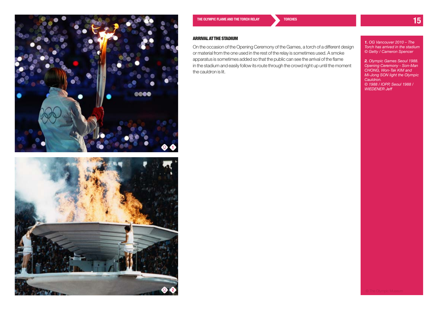



**[The Olympic flame and the Torch Relay](#page-1-0) 15 [Torches](#page-12-0)**

#### Arrival atthe stadium

On the occasion of the Opening Ceremony of the Games, a torch of a different design or material from the one used in the rest of the relay is sometimes used. A smoke apparatus is sometimes added so that the public can see the arrival of the flame in the stadium and easily follow its route through the crowd right up until the moment the cauldron is lit.

*1. OG Vancouver 2010 – The Torch has arrived in the stadium © Getty / Cameron Spencer*

*2. Olympic Games Seoul 1988. Opening Ceremony - Son-Man CHONG, Won-Tak KIM and Mi-Jong SON light the Olympic Cauldron. © 1988 / IOPP, Seoul 1988 / WIEDENER Jeff*